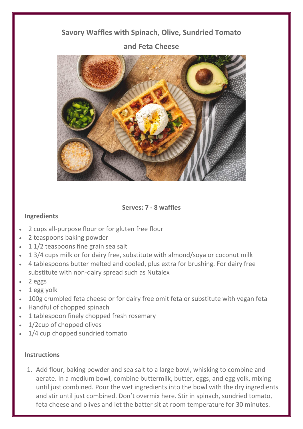## **Savory Waffles with Spinach, Olive, Sundried Tomato and Feta Cheese**



**Serves: 7 - 8 waffles**

## **Ingredients**

- 2 cups all-purpose flour or for gluten free flour
- 2 teaspoons baking powder
- 1 1/2 teaspoons fine grain sea salt
- 1 3/4 cups milk or for dairy free, substitute with almond/soya or coconut milk
- 4 tablespoons butter melted and cooled, plus extra for brushing. For dairy free substitute with non-dairy spread such as Nutalex
- 2 eggs
- 1 egg yolk
- 100g crumbled feta cheese or for dairy free omit feta or substitute with vegan feta
- Handful of chopped spinach
- 1 tablespoon finely chopped fresh rosemary
- 1/2cup of chopped olives
- 1/4 cup chopped sundried tomato

## **Instructions**

1. Add flour, baking powder and sea salt to a large bowl, whisking to combine and aerate. In a medium bowl, combine buttermilk, butter, eggs, and egg yolk, mixing until just combined. Pour the wet ingredients into the bowl with the dry ingredients and stir until just combined. Don't overmix here. Stir in spinach, sundried tomato, feta cheese and olives and let the batter sit at room temperature for 30 minutes.